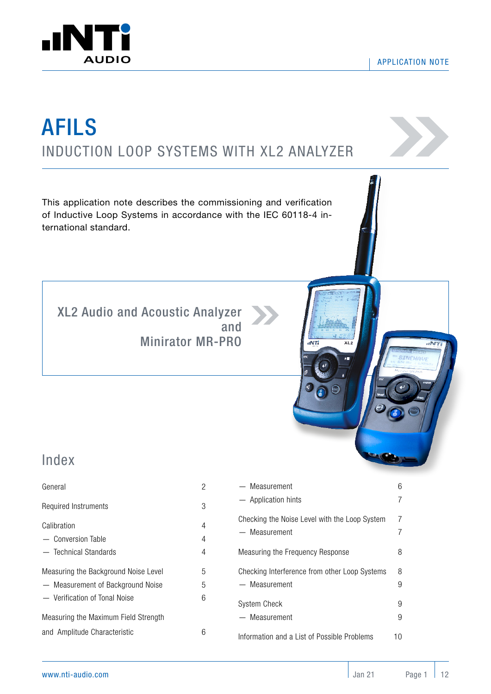



# INDUCTION LOOP SYSTEMS WITH XL2 ANALYZER AFILS

This application note describes the commissioning and verification of Inductive Loop Systems in accordance with the IEC 60118-4 international standard.

[XL2 Audio and Acoustic Analyzer](https://www.nti-audio.com/en/products/xl2-sound-level-meter) and [Minirator MR-PRO](https://www.nti-audio.com/en/products/minirator-mr-pro-mr2) 



### Index

| General                              | 2 |
|--------------------------------------|---|
| Required Instruments                 | 3 |
| Calibration                          | 4 |
| - Conversion Table                   | 4 |
| - Technical Standards                | 4 |
| Measuring the Background Noise Level | 5 |
| - Measurement of Background Noise    | 5 |
| - Verification of Tonal Noise        | 6 |
| Measuring the Maximum Field Strength |   |
| and Amplitude Characteristic         | 6 |

| — Measurement                                 | 6  |
|-----------------------------------------------|----|
| - Application hints                           |    |
| Checking the Noise Level with the Loop System | 7  |
| — Measurement                                 |    |
| Measuring the Frequency Response              | 8  |
| Checking Interference from other Loop Systems | 8  |
| — Measurement                                 | 9  |
| System Check                                  | 9  |
| — Measurement                                 | 9  |
| Information and a List of Possible Problems   | 10 |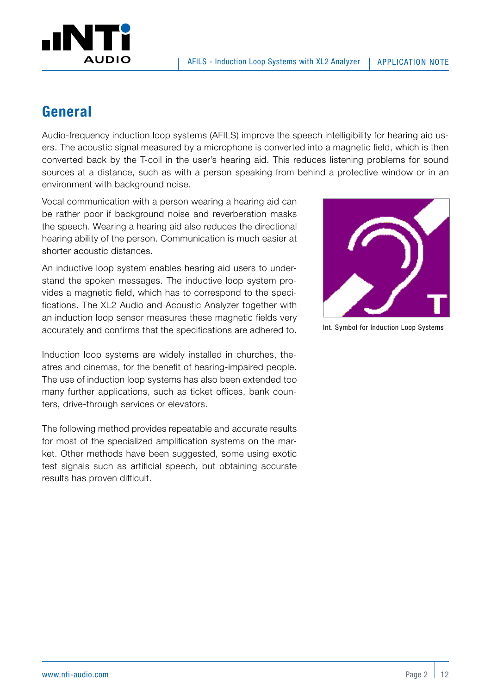<span id="page-1-0"></span>

### **General**

Audio-frequency induction loop systems (AFILS) improve the speech intelligibility for hearing aid users. The acoustic signal measured by a microphone is converted into a magnetic field, which is then converted back by the T-coil in the user's hearing aid. This reduces listening problems for sound sources at a distance, such as with a person speaking from behind a protective window or in an environment with background noise.

Vocal communication with a person wearing a hearing aid can be rather poor if background noise and reverberation masks the speech. Wearing a hearing aid also reduces the directional hearing ability of the person. Communication is much easier at shorter acoustic distances.

An inductive loop system enables hearing aid users to understand the spoken messages. The inductive loop system provides a magnetic field, which has to correspond to the specifications. The XL2 Audio and Acoustic Analyzer together with an induction loop sensor measures these magnetic fields very accurately and confirms that the specifications are adhered to.

Induction loop systems are widely installed in churches, theatres and cinemas, for the benefit of hearing-impaired people. The use of induction loop systems has also been extended too many further applications, such as ticket offices, bank counters, drive-through services or elevators.

The following method provides repeatable and accurate results for most of the specialized amplification systems on the market. Other methods have been suggested, some using exotic test signals such as artificial speech, but obtaining accurate results has proven difficult.



Int. Symbol for Induction Loop Systems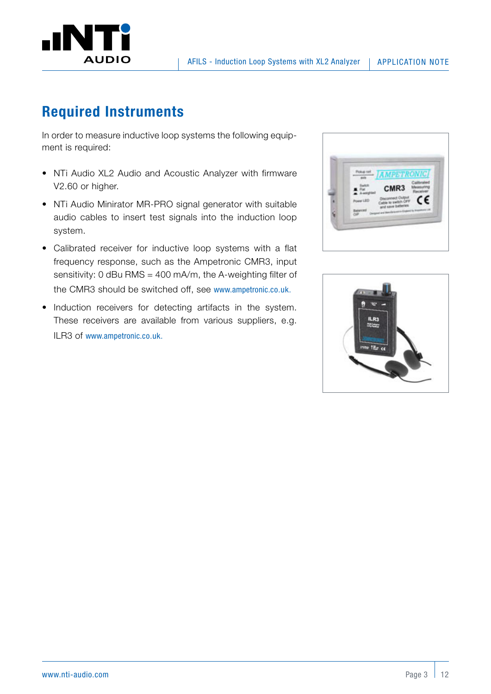

### **Required Instruments**

In order to measure inductive loop systems the following equipment is required:

- NTi Audio XL2 Audio and Acoustic Analyzer with firmware V2.60 or higher.
- NTi Audio Minirator MR-PRO signal generator with suitable audio cables to insert test signals into the induction loop system.
- Calibrated receiver for inductive loop systems with a flat frequency response, such as the Ampetronic CMR3, input sensitivity: 0 dBu RMS = 400 mA/m, the A-weighting filter of the CMR3 should be switched off, see [www.ampetronic.co.uk.](http://www.ampetronic.co.uk)
- Induction receivers for detecting artifacts in the system. These receivers are available from various suppliers, e.g. ILR3 of [www.ampetronic.co.uk.](http://www.ampetronic.co.uk)



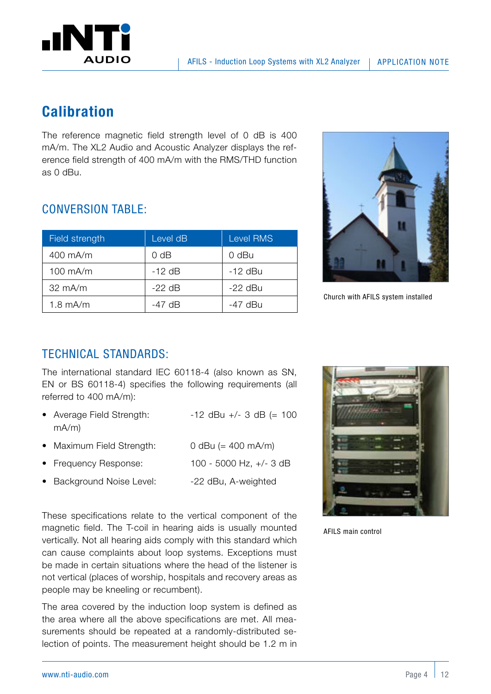<span id="page-3-0"></span>

### **Calibration**

The reference magnetic field strength level of 0 dB is 400 mA/m. The XL2 Audio and Acoustic Analyzer displays the reference field strength of 400 mA/m with the RMS/THD function as 0 dBu.

#### Church with AFILS system installed

#### CONVERSION TABLE:

| Field strength    | Level dB | <b>Level RMS</b> |
|-------------------|----------|------------------|
| 400 mA/m          | $0$ dB   | 0 dBu            |
| 100 mA/m          | $-12$ dB | $-12$ dBu        |
| $32 \text{ mA/m}$ | $-22$ dB | $-22$ dBu        |
| $1.8$ mA/m        | -47 dB   | -47 dBu          |

### TECHNICAL STANDARDS:

The international standard IEC 60118-4 (also known as SN, EN or BS 60118-4) specifies the following requirements (all referred to 400 mA/m):

- Average Field Strength:  $-12$  dBu  $+/- 3$  dB  $(= 100$ mA/m)
- Maximum Field Strength: 0 dBu (= 400 mA/m)
- Frequency Response: 100 5000 Hz, +/- 3 dB
- Background Noise Level: -22 dBu, A-weighted

These specifications relate to the vertical component of the magnetic field. The T-coil in hearing aids is usually mounted vertically. Not all hearing aids comply with this standard which can cause complaints about loop systems. Exceptions must be made in certain situations where the head of the listener is not vertical (places of worship, hospitals and recovery areas as people may be kneeling or recumbent).

The area covered by the induction loop system is defined as the area where all the above specifications are met. All measurements should be repeated at a randomly-distributed selection of points. The measurement height should be 1.2 m in



AFILS main control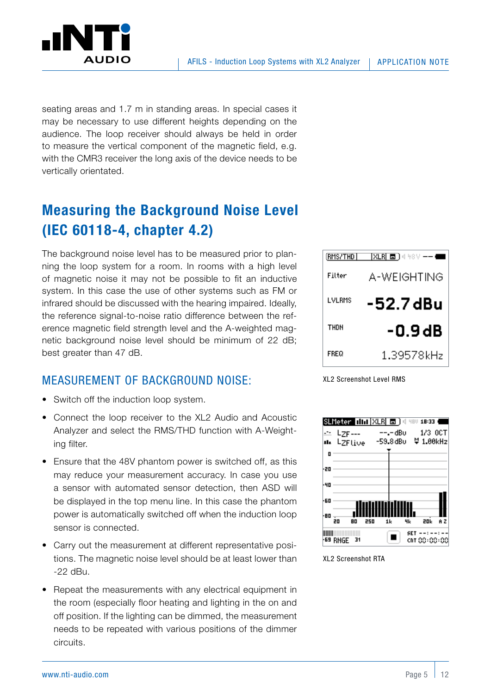<span id="page-4-0"></span>

seating areas and 1.7 m in standing areas. In special cases it may be necessary to use different heights depending on the audience. The loop receiver should always be held in order to measure the vertical component of the magnetic field, e.g. with the CMR3 receiver the long axis of the device needs to be vertically orientated.

### **Measuring the Background Noise Level (IEC 60118-4, chapter 4.2)**

The background noise level has to be measured prior to planning the loop system for a room. In rooms with a high level of magnetic noise it may not be possible to fit an inductive system. In this case the use of other systems such as FM or infrared should be discussed with the hearing impaired. Ideally, the reference signal-to-noise ratio difference between the reference magnetic field strength level and the A-weighted magnetic background noise level should be minimum of 22 dB; best greater than 47 dB.

#### MEASUREMENT OF BACKGROUND NOISE:

- Switch off the induction loop system.
- Connect the loop receiver to the XL2 Audio and Acoustic Analyzer and select the RMS/THD function with A-Weighting filter.
- Ensure that the 48V phantom power is switched off, as this may reduce your measurement accuracy. In case you use a sensor with automated sensor detection, then ASD will be displayed in the top menu line. In this case the phantom power is automatically switched off when the induction loop sensor is connected.
- Carry out the measurement at different representative positions. The magnetic noise level should be at least lower than -22 dBu.
- Repeat the measurements with any electrical equipment in the room (especially floor heating and lighting in the on and off position. If the lighting can be dimmed, the measurement needs to be repeated with various positions of the dimmer circuits.



XL2 Screenshot Level RMS



XL2 Screenshot RTA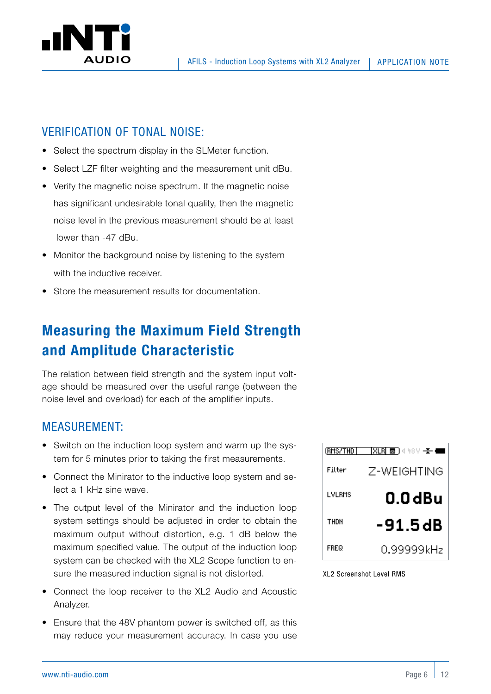<span id="page-5-0"></span>

#### VERIFICATION OF TONAL NOISE:

- Select the spectrum display in the SLMeter function.
- Select LZF filter weighting and the measurement unit dBu.
- Verify the magnetic noise spectrum. If the magnetic noise has significant undesirable tonal quality, then the magnetic noise level in the previous measurement should be at least lower than -47 dBu.
- Monitor the background noise by listening to the system with the inductive receiver.
- Store the measurement results for documentation.

### **Measuring the Maximum Field Strength and Amplitude Characteristic**

The relation between field strength and the system input voltage should be measured over the useful range (between the noise level and overload) for each of the amplifier inputs.

#### MEASUREMENT:

- Switch on the induction loop system and warm up the system for 5 minutes prior to taking the first measurements.
- Connect the Minirator to the inductive loop system and select a 1 kHz sine wave.
- The output level of the Minirator and the induction loop system settings should be adjusted in order to obtain the maximum output without distortion, e.g. 1 dB below the maximum specified value. The output of the induction loop system can be checked with the XL2 Scope function to ensure the measured induction signal is not distorted.
- Connect the loop receiver to the XL2 Audio and Acoustic Analyzer.
- Ensure that the 48V phantom power is switched off, as this may reduce your measurement accuracy. In case you use



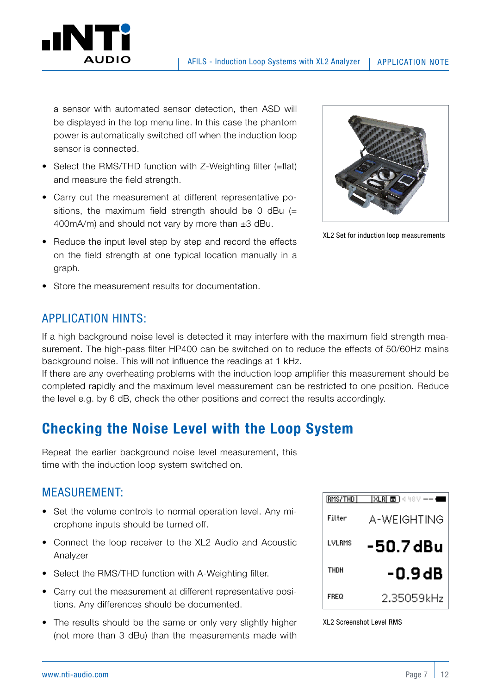<span id="page-6-0"></span>

a sensor with automated sensor detection, then ASD will be displayed in the top menu line. In this case the phantom power is automatically switched off when the induction loop sensor is connected.

- Select the RMS/THD function with Z-Weighting filter (=flat) and measure the field strength.
- Carry out the measurement at different representative positions, the maximum field strength should be 0 dBu  $(=$ 400mA/m) and should not vary by more than  $\pm 3$  dBu.
- Reduce the input level step by step and record the effects on the field strength at one typical location manually in a graph.
- Store the measurement results for documentation.



XL2 Set for induction loop measurements

#### APPLICATION HINTS:

If a high background noise level is detected it may interfere with the maximum field strength measurement. The high-pass filter HP400 can be switched on to reduce the effects of 50/60Hz mains background noise. This will not influence the readings at 1 kHz.

If there are any overheating problems with the induction loop amplifier this measurement should be completed rapidly and the maximum level measurement can be restricted to one position. Reduce the level e.g. by 6 dB, check the other positions and correct the results accordingly.

### **Checking the Noise Level with the Loop System**

Repeat the earlier background noise level measurement, this time with the induction loop system switched on.

#### MEASUREMENT:

- Set the volume controls to normal operation level. Any microphone inputs should be turned off.
- Connect the loop receiver to the XL2 Audio and Acoustic Analyzer
- Select the RMS/THD function with A-Weighting filter.
- Carry out the measurement at different representative positions. Any differences should be documented.
- The results should be the same or only very slightly higher (not more than 3 dBu) than the measurements made with



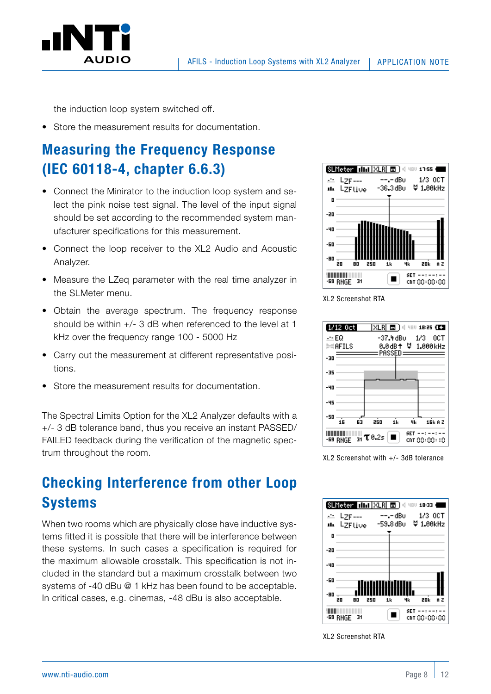<span id="page-7-0"></span>

the induction loop system switched off.

• Store the measurement results for documentation.

## **Measuring the Frequency Response (IEC 60118-4, chapter 6.6.3)**

- Connect the Minirator to the induction loop system and select the pink noise test signal. The level of the input signal should be set according to the recommended system manufacturer specifications for this measurement.
- Connect the loop receiver to the XL2 Audio and Acoustic Analyzer.
- Measure the LZeq parameter with the real time analyzer in the SLMeter menu.
- Obtain the average spectrum. The frequency response should be within +/- 3 dB when referenced to the level at 1 kHz over the frequency range 100 - 5000 Hz
- Carry out the measurement at different representative positions.
- Store the measurement results for documentation.

The Spectral Limits Option for the XL2 Analyzer defaults with a +/- 3 dB tolerance band, thus you receive an instant PASSED/ FAILED feedback during the verification of the magnetic spectrum throughout the room.

### **Checking Interference from other Loop Systems**

When two rooms which are physically close have inductive systems fitted it is possible that there will be interference between these systems. In such cases a specification is required for the maximum allowable crosstalk. This specification is not included in the standard but a maximum crosstalk between two systems of -40 dBu @ 1 kHz has been found to be acceptable. In critical cases, e.g. cinemas, -48 dBu is also acceptable.







XL2 Screenshot with  $+/-$  3dB tolerance



XL2 Screenshot RTA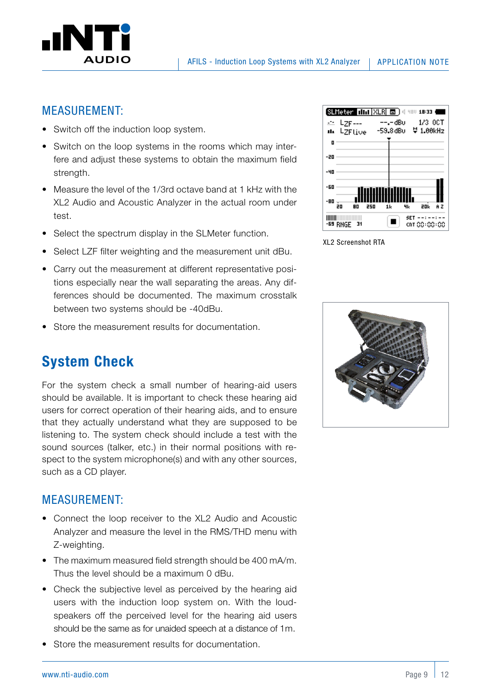<span id="page-8-0"></span>

#### APPLICATION NOTE

#### MEASUREMENT:

- Switch off the induction loop system.
- Switch on the loop systems in the rooms which may interfere and adjust these systems to obtain the maximum field strength.
- Measure the level of the 1/3rd octave band at 1 kHz with the XL2 Audio and Acoustic Analyzer in the actual room under test.
- Select the spectrum display in the SLMeter function.
- Select LZF filter weighting and the measurement unit dBu.
- Carry out the measurement at different representative positions especially near the wall separating the areas. Any differences should be documented. The maximum crosstalk between two systems should be -40dBu.
- Store the measurement results for documentation.

### **System Check**

For the system check a small number of hearing-aid users should be available. It is important to check these hearing aid users for correct operation of their hearing aids, and to ensure that they actually understand what they are supposed to be listening to. The system check should include a test with the sound sources (talker, etc.) in their normal positions with respect to the system microphone(s) and with any other sources, such as a CD player.

#### MEASUREMENT:

- Connect the loop receiver to the XL2 Audio and Acoustic Analyzer and measure the level in the RMS/THD menu with Z-weighting.
- The maximum measured field strength should be 400 mA/m. Thus the level should be a maximum 0 dBu.
- Check the subjective level as perceived by the hearing aid users with the induction loop system on. With the loudspeakers off the perceived level for the hearing aid users should be the same as for unaided speech at a distance of 1m.
- Store the measurement results for documentation.



XL2 Screenshot RTA

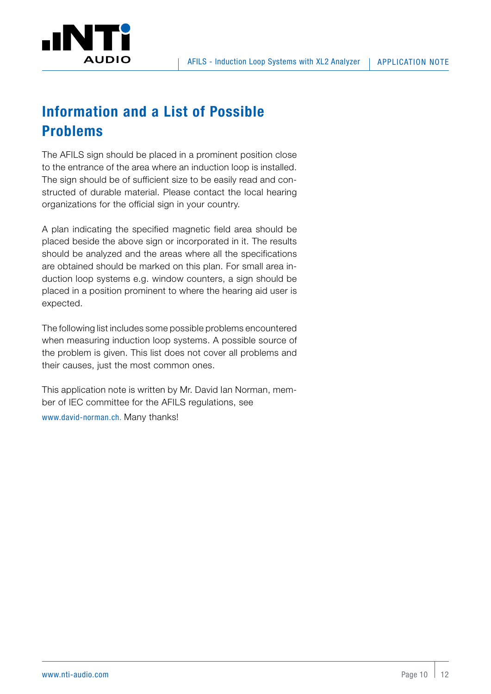<span id="page-9-0"></span>

## **Information and a List of Possible Problems**

The AFILS sign should be placed in a prominent position close to the entrance of the area where an induction loop is installed. The sign should be of sufficient size to be easily read and constructed of durable material. Please contact the local hearing organizations for the official sign in your country.

A plan indicating the specified magnetic field area should be placed beside the above sign or incorporated in it. The results should be analyzed and the areas where all the specifications are obtained should be marked on this plan. For small area induction loop systems e.g. window counters, a sign should be placed in a position prominent to where the hearing aid user is expected.

The following list includes some possible problems encountered when measuring induction loop systems. A possible source of the problem is given. This list does not cover all problems and their causes, just the most common ones.

This application note is written by Mr. David Ian Norman, member of IEC committee for the AFILS regulations, see [www.david-norman.ch.](http://www.david-norman.ch) Many thanks!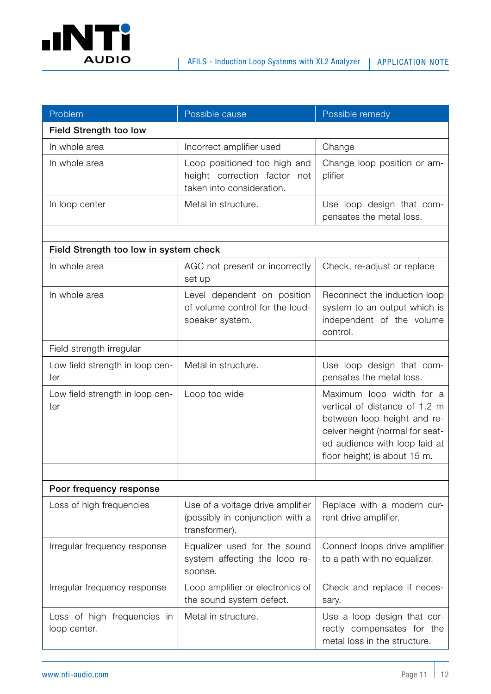

| Problem                                     | Possible cause                                                                            | Possible remedy                                                                                                                                                                              |  |  |
|---------------------------------------------|-------------------------------------------------------------------------------------------|----------------------------------------------------------------------------------------------------------------------------------------------------------------------------------------------|--|--|
| <b>Field Strength too low</b>               |                                                                                           |                                                                                                                                                                                              |  |  |
| In whole area                               | Incorrect amplifier used                                                                  | Change                                                                                                                                                                                       |  |  |
| In whole area                               | Loop positioned too high and<br>height correction factor not<br>taken into consideration. | Change loop position or am-<br>plifier                                                                                                                                                       |  |  |
| In loop center                              | Metal in structure.                                                                       | Use loop design that com-<br>pensates the metal loss.                                                                                                                                        |  |  |
|                                             |                                                                                           |                                                                                                                                                                                              |  |  |
| Field Strength too low in system check      |                                                                                           |                                                                                                                                                                                              |  |  |
| In whole area                               | AGC not present or incorrectly<br>set up                                                  | Check, re-adjust or replace                                                                                                                                                                  |  |  |
| In whole area                               | Level dependent on position<br>of volume control for the loud-<br>speaker system.         | Reconnect the induction loop<br>system to an output which is<br>independent of the volume<br>control.                                                                                        |  |  |
| Field strength irregular                    |                                                                                           |                                                                                                                                                                                              |  |  |
| Low field strength in loop cen-<br>ter      | Metal in structure.                                                                       | Use loop design that com-<br>pensates the metal loss.                                                                                                                                        |  |  |
| Low field strength in loop cen-<br>ter      | Loop too wide                                                                             | Maximum loop width for a<br>vertical of distance of 1.2 m<br>between loop height and re-<br>ceiver height (normal for seat-<br>ed audience with loop laid at<br>floor height) is about 15 m. |  |  |
|                                             |                                                                                           |                                                                                                                                                                                              |  |  |
| Poor frequency response                     |                                                                                           |                                                                                                                                                                                              |  |  |
| Loss of high frequencies                    | Use of a voltage drive amplifier<br>(possibly in conjunction with a<br>transformer).      | Replace with a modern cur-<br>rent drive amplifier.                                                                                                                                          |  |  |
| Irregular frequency response                | Equalizer used for the sound<br>system affecting the loop re-<br>sponse.                  | Connect loops drive amplifier<br>to a path with no equalizer.                                                                                                                                |  |  |
| Irregular frequency response                | Loop amplifier or electronics of<br>the sound system defect.                              | Check and replace if neces-<br>sary.                                                                                                                                                         |  |  |
| Loss of high frequencies in<br>loop center. | Metal in structure.                                                                       | Use a loop design that cor-<br>rectly compensates for the<br>metal loss in the structure.                                                                                                    |  |  |